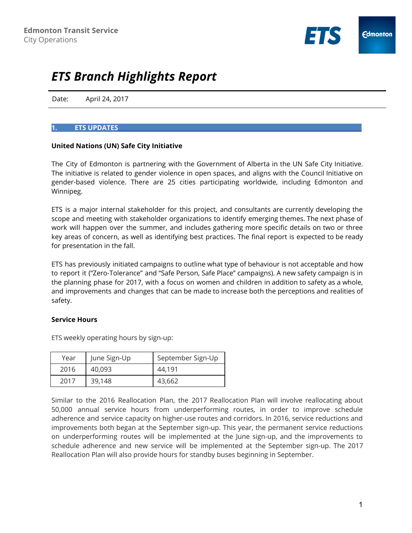

# *ETS Branch Highlights Report*

Date: April 24, 2017

### **1. ETS UPDATES\_\_**\_\_\_\_\_\_\_\_\_\_\_\_\_\_\_\_\_\_\_\_\_\_\_\_\_\_\_\_\_\_\_\_\_\_\_\_\_\_\_\_\_\_\_\_\_\_\_\_\_\_\_\_\_\_\_\_\_\_\_\_\_\_\_\_\_\_\_\_\_\_\_\_\_\_\_\_\_\_\_

#### **United Nations (UN) Safe City Initiative**

The City of Edmonton is partnering with the Government of Alberta in the UN Safe City Initiative. The initiative is related to gender violence in open spaces, and aligns with the Council Initiative on gender-based violence. There are 25 cities participating worldwide, including Edmonton and Winnipeg.

ETS is a major internal stakeholder for this project, and consultants are currently developing the scope and meeting with stakeholder organizations to identify emerging themes. The next phase of work will happen over the summer, and includes gathering more specific details on two or three key areas of concern, as well as identifying best practices. The final report is expected to be ready for presentation in the fall.

ETS has previously initiated campaigns to outline what type of behaviour is not acceptable and how to report it ("Zero-Tolerance" and "Safe Person, Safe Place" campaigns). A new safety campaign is in the planning phase for 2017, with a focus on women and children in addition to safety as a whole, and improvements and changes that can be made to increase both the perceptions and realities of safety.

#### **Service Hours**

ETS weekly operating hours by sign-up:

| Year | June Sign-Up | September Sign-Up |
|------|--------------|-------------------|
| 2016 | 40,093       | 44.191            |
| 2017 | 39,148       | 43,662            |

Similar to the 2016 Reallocation Plan, the 2017 Reallocation Plan will involve reallocating about 50,000 annual service hours from underperforming routes, in order to improve schedule adherence and service capacity on higher-use routes and corridors. In 2016, service reductions and improvements both began at the September sign-up. This year, the permanent service reductions on underperforming routes will be implemented at the June sign-up, and the improvements to schedule adherence and new service will be implemented at the September sign-up. The 2017 Reallocation Plan will also provide hours for standby buses beginning in September.